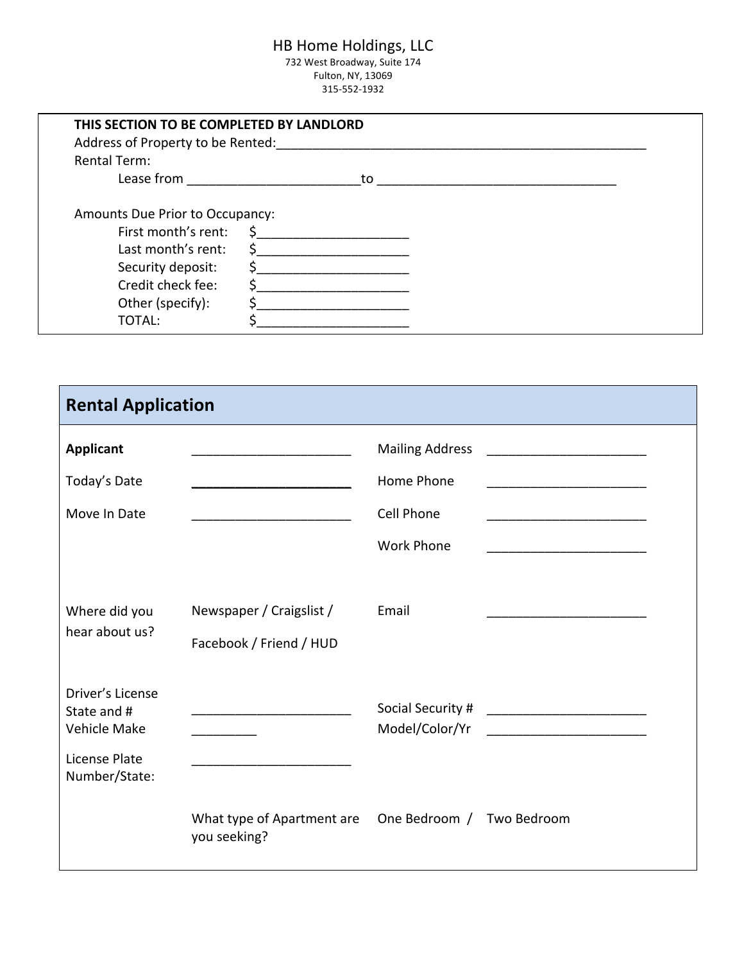# HB Home Holdings, LLC

732 West Broadway, Suite 174 Fulton, NY, 13069 315-552-1932

| THIS SECTION TO BE COMPLETED BY LANDLORD<br>Address of Property to be Rented:                                                                                                                                                  |                    |  |
|--------------------------------------------------------------------------------------------------------------------------------------------------------------------------------------------------------------------------------|--------------------|--|
| <b>Rental Term:</b>                                                                                                                                                                                                            |                    |  |
| Lease from the control of the control of the control of the control of the control of the control of the control of the control of the control of the control of the control of the control of the control of the control of t | to                 |  |
| Amounts Due Prior to Occupancy:<br>First month's rent:<br>Last month's rent:<br>Security deposit:<br>Credit check fee:<br>Other (specify):<br>TOTAL:                                                                           | \$<br>Ś<br>Ś<br>Ŝ. |  |

| <b>Rental Application</b>                                                                |                                                                                                                        |                                                                                |                                                                                                                                                                                                                                                                                                                |
|------------------------------------------------------------------------------------------|------------------------------------------------------------------------------------------------------------------------|--------------------------------------------------------------------------------|----------------------------------------------------------------------------------------------------------------------------------------------------------------------------------------------------------------------------------------------------------------------------------------------------------------|
| <b>Applicant</b><br>Today's Date<br>Move In Date                                         | <u> 1989 - Johann John Harry Harry Harry Harry Harry Harry Harry Harry Harry Harry Harry Harry Harry Harry Harry H</u> | <b>Mailing Address</b><br>Home Phone<br><b>Cell Phone</b><br><b>Work Phone</b> | the control of the control of the control of the control of the control of the control of<br>the control of the control of the control of the control of the control of the control of<br><u> 1989 - Johann Stein, mars an deutscher Stein und der Stein und der Stein und der Stein und der Stein und der</u> |
| Where did you<br>hear about us?                                                          | Newspaper / Craigslist /<br>Facebook / Friend / HUD                                                                    | Email                                                                          |                                                                                                                                                                                                                                                                                                                |
| Driver's License<br>State and #<br><b>Vehicle Make</b><br>License Plate<br>Number/State: |                                                                                                                        | Model/Color/Yr                                                                 |                                                                                                                                                                                                                                                                                                                |
|                                                                                          | What type of Apartment are<br>you seeking?                                                                             | One Bedroom / Two Bedroom                                                      |                                                                                                                                                                                                                                                                                                                |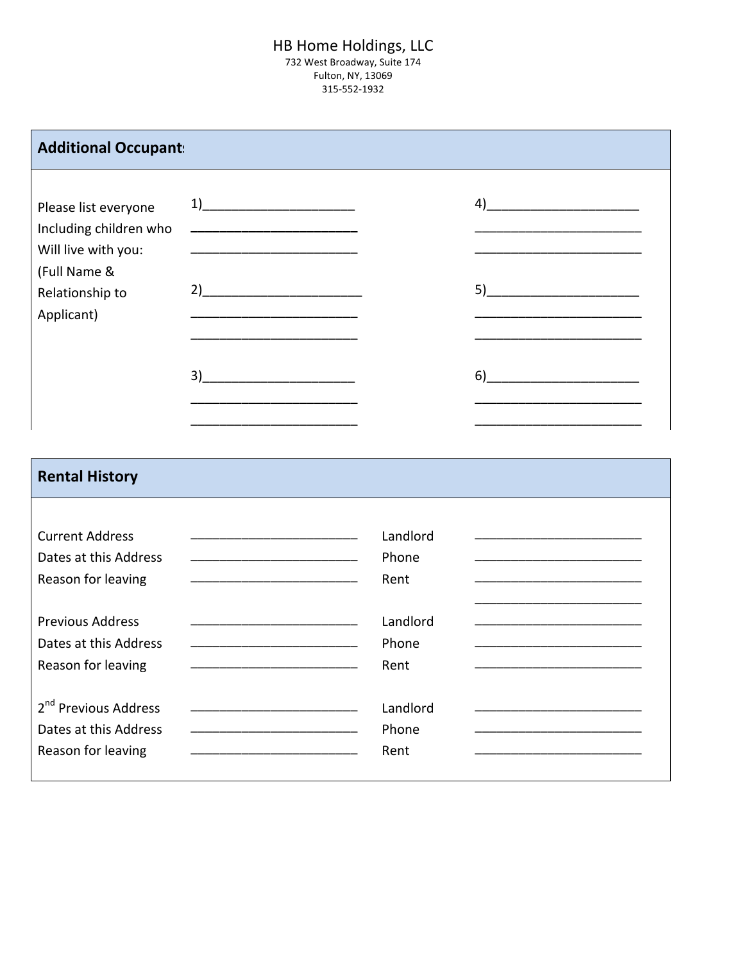#### HB Home Holdings, LLC 732 West Broadway, Suite 174 Fulton, NY, 13069 315-552-1932

| <b>Additional Occupant:</b>                                                     |                                                                                                                                                                                                                                                                                                                                                                                                                                                                     |                           |                                                 |
|---------------------------------------------------------------------------------|---------------------------------------------------------------------------------------------------------------------------------------------------------------------------------------------------------------------------------------------------------------------------------------------------------------------------------------------------------------------------------------------------------------------------------------------------------------------|---------------------------|-------------------------------------------------|
| Please list everyone<br>Including children who                                  | $\begin{array}{c c c c} \hline \multicolumn{3}{c }{\textbf{1}} & \multicolumn{3}{c }{\textbf{2}} \\ \hline \multicolumn{3}{c }{\textbf{2}} & \multicolumn{3}{c }{\textbf{3}} \\ \hline \multicolumn{3}{c }{\textbf{4}} & \multicolumn{3}{c }{\textbf{5}} \\ \hline \multicolumn{3}{c }{\textbf{5}} & \multicolumn{3}{c }{\textbf{6}} \\ \hline \multicolumn{3}{c }{\textbf{6}} & \multicolumn{3}{c }{\textbf{6}} \\ \hline \multicolumn{3}{c }{\textbf{7}} & \mult$ |                           | $\left( \begin{array}{c} 4 \end{array} \right)$ |
| Will live with you:<br>(Full Name &<br>Relationship to<br>Applicant)            | $2)$ and $2$ and $2$ and $2$ and $2$ and $2$ and $2$ and $2$ and $2$ and $2$ and $2$ and $2$ and $2$ and $2$ and $2$ and $2$ and $2$ and $2$ and $2$ and $2$ and $2$ and $2$ and $2$ and $2$ and $2$ and $2$ and $2$ and $2$                                                                                                                                                                                                                                        |                           |                                                 |
|                                                                                 | $\begin{picture}(20,10) \put(0,0){\vector(1,0){100}} \put(15,0){\vector(1,0){100}} \put(15,0){\vector(1,0){100}} \put(15,0){\vector(1,0){100}} \put(15,0){\vector(1,0){100}} \put(15,0){\vector(1,0){100}} \put(15,0){\vector(1,0){100}} \put(15,0){\vector(1,0){100}} \put(15,0){\vector(1,0){100}} \put(15,0){\vector(1,0){100}} \put(15,0){\vector(1,0){100}} \$                                                                                                 |                           |                                                 |
| <b>Rental History</b>                                                           |                                                                                                                                                                                                                                                                                                                                                                                                                                                                     |                           |                                                 |
| <b>Current Address</b><br>Dates at this Address<br>Reason for leaving           | <u> 1990 - Johann John Harry Harry Harry Harry Harry Harry Harry Harry Harry Harry Harry Harry Harry Harry Harry</u><br><u> 1980 - Johann John Harry Harry Harry Harry Harry Harry Harry Harry Harry Harry Harry Harry Harry Harry Harry H</u>                                                                                                                                                                                                                      | Landlord<br>Phone<br>Rent |                                                 |
| <b>Previous Address</b><br>Dates at this Address<br>Reason for leaving          | <u> 1980 - Johann John Harry Harry Harry Harry Harry Harry Harry Harry Harry Harry Harry Harry Harry Harry Harry H</u><br><u> 1990 - Johann John Harry Harry Harry Harry Harry Harry Harry Harry Harry Harry Harry Harry Harry Harry Harry</u>                                                                                                                                                                                                                      | Landlord<br>Phone<br>Rent |                                                 |
| 2 <sup>nd</sup> Previous Address<br>Dates at this Address<br>Reason for leaving |                                                                                                                                                                                                                                                                                                                                                                                                                                                                     | Landlord<br>Phone<br>Rent |                                                 |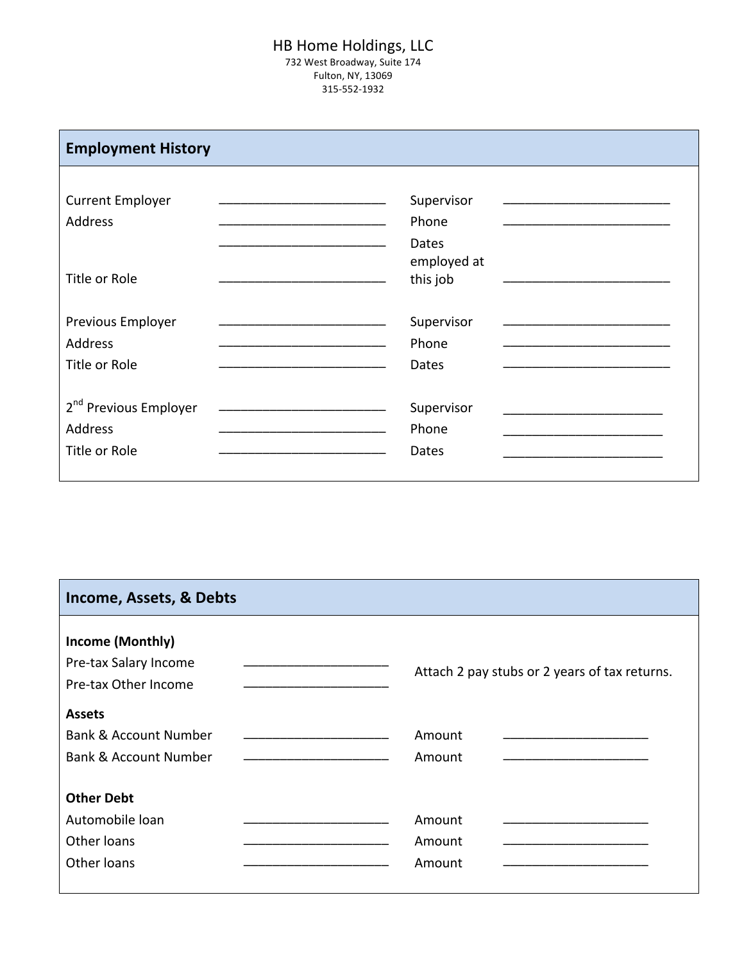## HB Home Holdings, LLC 732 West Broadway, Suite 174 Fulton, NY, 13069

315-552-1932

| <b>Employment History</b>         |                         |
|-----------------------------------|-------------------------|
| <b>Current Employer</b>           | Supervisor              |
| <b>Address</b>                    | Phone                   |
|                                   | Dates                   |
| <b>Title or Role</b>              | employed at<br>this job |
| Previous Employer                 | Supervisor              |
| <b>Address</b>                    | Phone                   |
| <b>Title or Role</b>              | Dates                   |
| 2 <sup>nd</sup> Previous Employer | Supervisor              |
| <b>Address</b>                    | Phone                   |
| Title or Role                     | Dates                   |
|                                   |                         |

| Income, Assets, & Debts                                                               |                                               |
|---------------------------------------------------------------------------------------|-----------------------------------------------|
| Income (Monthly)<br>Pre-tax Salary Income<br>Pre-tax Other Income                     | Attach 2 pay stubs or 2 years of tax returns. |
| <b>Assets</b><br><b>Bank &amp; Account Number</b><br><b>Bank &amp; Account Number</b> | Amount<br>Amount                              |
| <b>Other Debt</b><br>Automobile loan<br>Other loans<br>Other loans                    | Amount<br>Amount<br>Amount                    |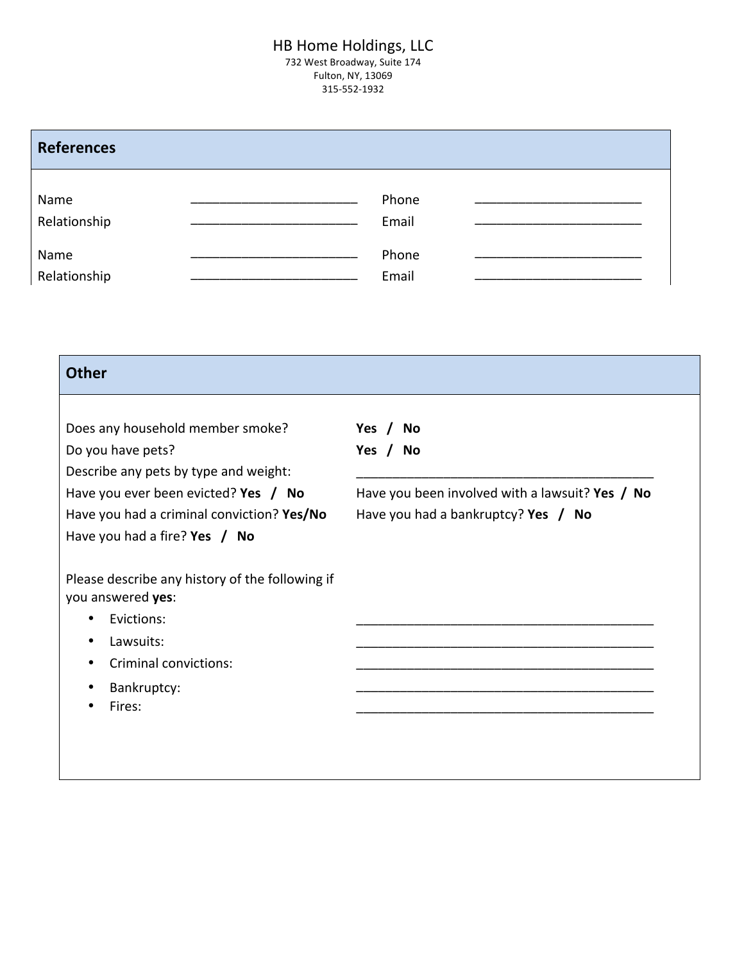# HB Home Holdings, LLC

732 West Broadway, Suite 174 Fulton, NY, 13069 315-552-1932

| <b>References</b>    |                                                                                                                        |                |  |
|----------------------|------------------------------------------------------------------------------------------------------------------------|----------------|--|
| Name<br>Relationship | <u> 1990 - Johann John Harry Harry Harry Harry Harry Harry Harry Harry Harry Harry Harry Harry Harry Harry Harry H</u> | Phone<br>Email |  |
| Name<br>Relationship |                                                                                                                        | Phone<br>Email |  |

| <b>Other</b>                                                                                                          |                                                                                          |
|-----------------------------------------------------------------------------------------------------------------------|------------------------------------------------------------------------------------------|
| Does any household member smoke?<br>Do you have pets?                                                                 | Yes /<br>No<br>Yes / No                                                                  |
| Describe any pets by type and weight:                                                                                 |                                                                                          |
| Have you ever been evicted? Yes $/$ No<br>Have you had a criminal conviction? Yes/No<br>Have you had a fire? Yes / No | Have you been involved with a lawsuit? Yes / No<br>Have you had a bankruptcy? Yes $/$ No |
| Please describe any history of the following if<br>you answered yes:                                                  |                                                                                          |
| Evictions:<br>٠<br>Lawsuits:                                                                                          |                                                                                          |
| <b>Criminal convictions:</b>                                                                                          |                                                                                          |
| Bankruptcy:<br>Fires:                                                                                                 |                                                                                          |
|                                                                                                                       |                                                                                          |